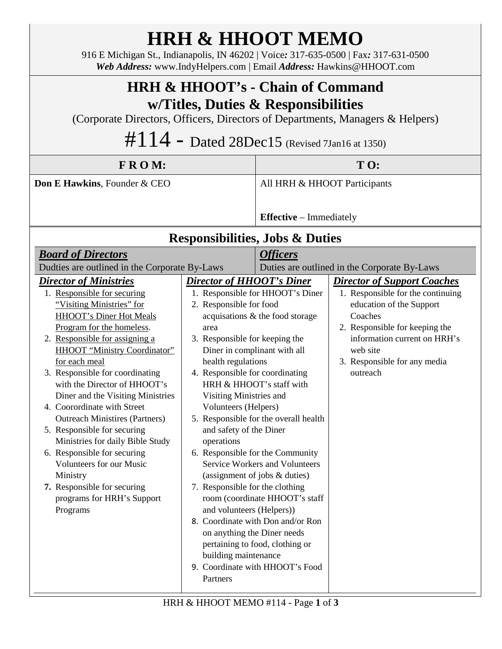| <b>HRH &amp; HHOOT MEMO</b><br>916 E Michigan St., Indianapolis, IN 46202   Voice: 317-635-0500   Fax: 317-631-0500<br>Web Address: www.IndyHelpers.com   Email Address: Hawkins@HHOOT.com                                                                                                                                                                                                                                                                                                                                                                                                                                              |                                                                                                                                                                                                                                                                                                                                                                                                                                                                                               |                                                                                                                                                                                                                                                                                                                                     |                                                                                                                                                                                                                                          |  |
|-----------------------------------------------------------------------------------------------------------------------------------------------------------------------------------------------------------------------------------------------------------------------------------------------------------------------------------------------------------------------------------------------------------------------------------------------------------------------------------------------------------------------------------------------------------------------------------------------------------------------------------------|-----------------------------------------------------------------------------------------------------------------------------------------------------------------------------------------------------------------------------------------------------------------------------------------------------------------------------------------------------------------------------------------------------------------------------------------------------------------------------------------------|-------------------------------------------------------------------------------------------------------------------------------------------------------------------------------------------------------------------------------------------------------------------------------------------------------------------------------------|------------------------------------------------------------------------------------------------------------------------------------------------------------------------------------------------------------------------------------------|--|
| <b>HRH &amp; HHOOT's - Chain of Command</b><br>w/Titles, Duties & Responsibilities<br>(Corporate Directors, Officers, Directors of Departments, Managers & Helpers)<br>$\#114$ – Dated 28Dec15 (Revised 7Jan16 at 1350)                                                                                                                                                                                                                                                                                                                                                                                                                 |                                                                                                                                                                                                                                                                                                                                                                                                                                                                                               |                                                                                                                                                                                                                                                                                                                                     |                                                                                                                                                                                                                                          |  |
| FROM:                                                                                                                                                                                                                                                                                                                                                                                                                                                                                                                                                                                                                                   |                                                                                                                                                                                                                                                                                                                                                                                                                                                                                               | TO:                                                                                                                                                                                                                                                                                                                                 |                                                                                                                                                                                                                                          |  |
| Don E Hawkins, Founder & CEO                                                                                                                                                                                                                                                                                                                                                                                                                                                                                                                                                                                                            |                                                                                                                                                                                                                                                                                                                                                                                                                                                                                               | All HRH & HHOOT Participants                                                                                                                                                                                                                                                                                                        |                                                                                                                                                                                                                                          |  |
|                                                                                                                                                                                                                                                                                                                                                                                                                                                                                                                                                                                                                                         |                                                                                                                                                                                                                                                                                                                                                                                                                                                                                               | <b>Effective</b> – Immediately                                                                                                                                                                                                                                                                                                      |                                                                                                                                                                                                                                          |  |
| <b>Responsibilities, Jobs &amp; Duties</b>                                                                                                                                                                                                                                                                                                                                                                                                                                                                                                                                                                                              |                                                                                                                                                                                                                                                                                                                                                                                                                                                                                               |                                                                                                                                                                                                                                                                                                                                     |                                                                                                                                                                                                                                          |  |
| <b>Board of Directors</b><br>Dudties are outlined in the Corporate By-Laws                                                                                                                                                                                                                                                                                                                                                                                                                                                                                                                                                              |                                                                                                                                                                                                                                                                                                                                                                                                                                                                                               | <b>Officers</b><br>Duties are outlined in the Corporate By-Laws                                                                                                                                                                                                                                                                     |                                                                                                                                                                                                                                          |  |
| <b>Director of Ministries</b><br>1. Responsible for securing<br>"Visiting Ministries" for<br>HHOOT's Diner Hot Meals<br>Program for the homeless.<br>2. Responsible for assigning a<br>HHOOT "Ministry Coordinator"<br>for each meal<br>3. Responsible for coordinating<br>with the Director of HHOOT's<br>Diner and the Visiting Ministries<br>4. Coorordinate with Street<br><b>Outreach Ministires (Partners)</b><br>5. Responsible for securing<br>Ministries for daily Bible Study<br>6. Responsible for securing<br>Volunteers for our Music<br>Ministry<br>7. Responsible for securing<br>programs for HRH's Support<br>Programs | <b>Director of HHOOT's Diner</b><br>2. Responsible for food<br>area<br>3. Responsible for keeping the<br>Diner in complinant with all<br>health regulations<br>4. Responsible for coordinating<br>HRH & HHOOT's staff with<br>Visiting Ministries and<br>Volunteers (Helpers)<br>and safety of the Diner<br>operations<br>6. Responsible for the Community<br>7. Responsible for the clothing<br>and volunteers (Helpers))<br>on anything the Diner needs<br>building maintenance<br>Partners | 1. Responsible for HHOOT's Diner<br>acquisations & the food storage<br>5. Responsible for the overall health<br><b>Service Workers and Volunteers</b><br>(assignment of jobs & duties)<br>room (coordinate HHOOT's staff<br>8. Coordinate with Don and/or Ron<br>pertaining to food, clothing or<br>9. Coordinate with HHOOT's Food | <b>Director of Support Coaches</b><br>1. Responsible for the continuing<br>education of the Support<br>Coaches<br>2. Responsible for keeping the<br>information current on HRH's<br>web site<br>3. Responsible for any media<br>outreach |  |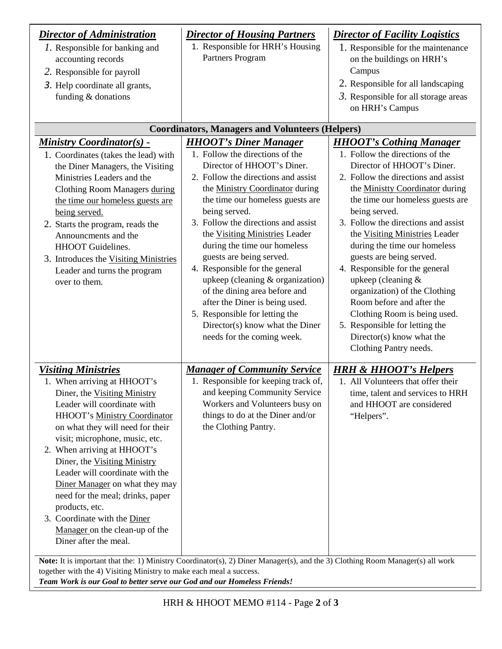| <b>Director of Administration</b><br><i>l</i> . Responsible for banking and<br>accounting records<br>2. Responsible for payroll<br>3. Help coordinate all grants,<br>funding & donations                                                                                                                                                                                                                                                                                                                                   | <b>Director of Housing Partners</b><br>1. Responsible for HRH's Housing<br>Partners Program                                                                                                                                                                                                                                                                                                                                                                                                                                                                                                                   | <b>Director of Facility Logistics</b><br>1. Responsible for the maintenance<br>on the buildings on HRH's<br>Campus<br>2. Responsible for all landscaping<br>$3.$ Responsible for all storage areas<br>on HRH's Campus                                                                                                                                                                                                                                                                                                                                                                                              |  |
|----------------------------------------------------------------------------------------------------------------------------------------------------------------------------------------------------------------------------------------------------------------------------------------------------------------------------------------------------------------------------------------------------------------------------------------------------------------------------------------------------------------------------|---------------------------------------------------------------------------------------------------------------------------------------------------------------------------------------------------------------------------------------------------------------------------------------------------------------------------------------------------------------------------------------------------------------------------------------------------------------------------------------------------------------------------------------------------------------------------------------------------------------|--------------------------------------------------------------------------------------------------------------------------------------------------------------------------------------------------------------------------------------------------------------------------------------------------------------------------------------------------------------------------------------------------------------------------------------------------------------------------------------------------------------------------------------------------------------------------------------------------------------------|--|
| <b>Coordinators, Managers and Volunteers (Helpers)</b>                                                                                                                                                                                                                                                                                                                                                                                                                                                                     |                                                                                                                                                                                                                                                                                                                                                                                                                                                                                                                                                                                                               |                                                                                                                                                                                                                                                                                                                                                                                                                                                                                                                                                                                                                    |  |
| <b>Ministry Coordinator(s) -</b><br>1. Coordinates (takes the lead) with<br>the Diner Managers, the Visiting<br>Ministries Leaders and the<br>Clothing Room Managers during<br>the time our homeless guests are<br>being served.<br>2. Starts the program, reads the<br>Announcments and the<br>HHOOT Guidelines.<br>3. Introduces the Visiting Ministries<br>Leader and turns the program<br>over to them.                                                                                                                | <b>HHOOT's Diner Manager</b><br>1. Follow the directions of the<br>Director of HHOOT's Diner.<br>2. Follow the directions and assist<br>the Ministry Coordinator during<br>the time our homeless guests are<br>being served.<br>3. Follow the directions and assist<br>the Visiting Ministries Leader<br>during the time our homeless<br>guests are being served.<br>4. Responsible for the general<br>upkeep (cleaning & organization)<br>of the dining area before and<br>after the Diner is being used.<br>5. Responsible for letting the<br>Director(s) know what the Diner<br>needs for the coming week. | <b>HHOOT's Cothing Manager</b><br>1. Follow the directions of the<br>Director of HHOOT's Diner.<br>2. Follow the directions and assist<br>the Ministty Coordinator during<br>the time our homeless guests are<br>being served.<br>3. Follow the directions and assist<br>the Visiting Ministries Leader<br>during the time our homeless<br>guests are being served.<br>4. Responsible for the general<br>upkeep (cleaning &<br>organization) of the Clothing<br>Room before and after the<br>Clothing Room is being used.<br>5. Responsible for letting the<br>Director(s) know what the<br>Clothing Pantry needs. |  |
| <b>Visiting Ministries</b><br>1. When arriving at HHOOT's<br>Diner, the Visiting Ministry<br>Leader will coordinate with<br><b>HHOOT's Ministry Coordinator</b><br>on what they will need for their<br>visit; microphone, music, etc.<br>2. When arriving at HHOOT's<br>Diner, the Visiting Ministry<br>Leader will coordinate with the<br>Diner Manager on what they may<br>need for the meal; drinks, paper<br>products, etc.<br>3. Coordinate with the Diner<br>Manager on the clean-up of the<br>Diner after the meal. | <b>Manager of Community Service</b><br>1. Responsible for keeping track of,<br>and keeping Community Service<br>Workers and Volunteers busy on<br>things to do at the Diner and/or<br>the Clothing Pantry.<br>Note: It is important that the: 1) Ministry Coordinator(s), 2) Diner Manager(s), and the 3) Clothing Room Manager(s) all work                                                                                                                                                                                                                                                                   | <b>HRH &amp; HHOOT's Helpers</b><br>1. All Volunteers that offer their<br>time, talent and services to HRH<br>and HHOOT are considered<br>"Helpers".                                                                                                                                                                                                                                                                                                                                                                                                                                                               |  |

*Team Work is our Goal to better serve our God and our Homeless Friends!*